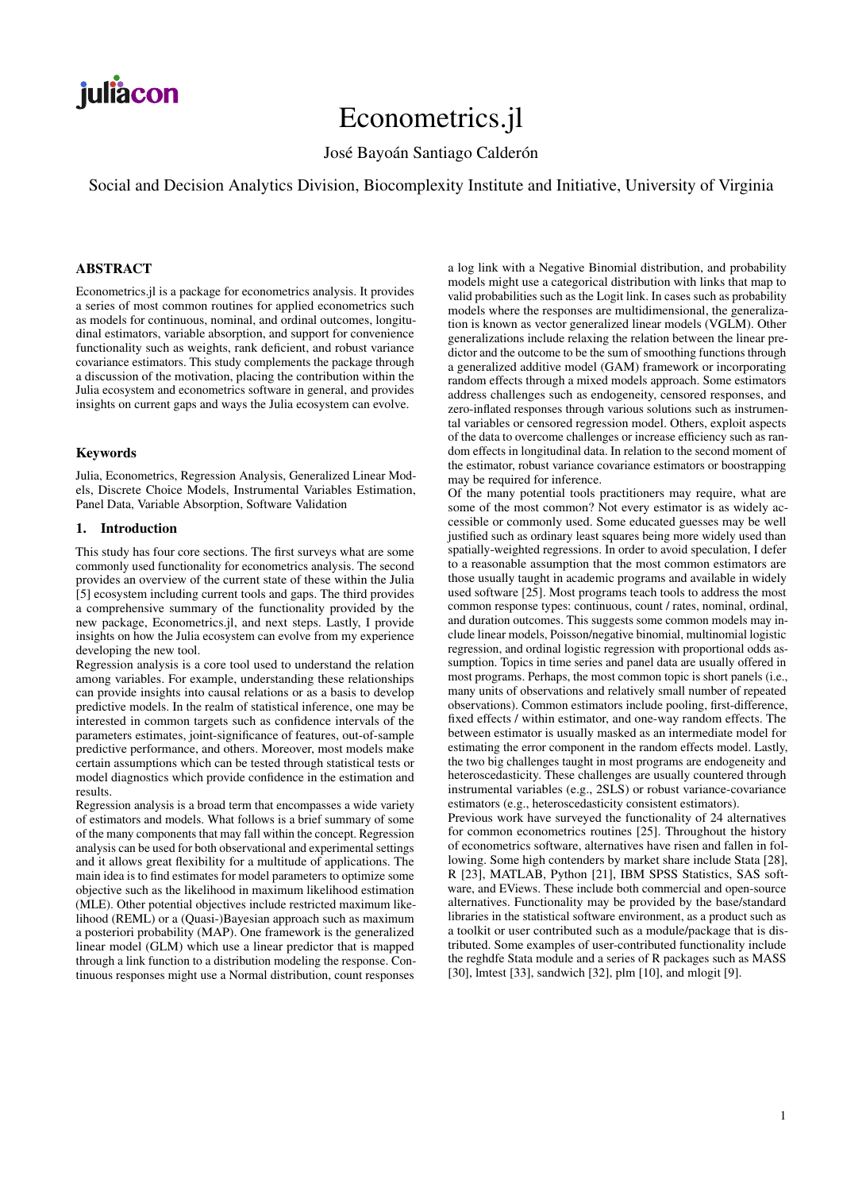# Econometrics.jl

José Bayoán Santiago Calderón

Social and Decision Analytics Division, Biocomplexity Institute and Initiative, University of Virginia

# ABSTRACT

Econometrics.jl is a package for econometrics analysis. It provides a series of most common routines for applied econometrics such as models for continuous, nominal, and ordinal outcomes, longitudinal estimators, variable absorption, and support for convenience functionality such as weights, rank deficient, and robust variance covariance estimators. This study complements the package through a discussion of the motivation, placing the contribution within the Julia ecosystem and econometrics software in general, and provides insights on current gaps and ways the Julia ecosystem can evolve.

# Keywords

Julia, Econometrics, Regression Analysis, Generalized Linear Models, Discrete Choice Models, Instrumental Variables Estimation, Panel Data, Variable Absorption, Software Validation

#### 1. Introduction

This study has four core sections. The first surveys what are some commonly used functionality for econometrics analysis. The second provides an overview of the current state of these within the Julia [\[5\]](#page-5-0) ecosystem including current tools and gaps. The third provides a comprehensive summary of the functionality provided by the new package, Econometrics.jl, and next steps. Lastly, I provide insights on how the Julia ecosystem can evolve from my experience developing the new tool.

Regression analysis is a core tool used to understand the relation among variables. For example, understanding these relationships can provide insights into causal relations or as a basis to develop predictive models. In the realm of statistical inference, one may be interested in common targets such as confidence intervals of the parameters estimates, joint-significance of features, out-of-sample predictive performance, and others. Moreover, most models make certain assumptions which can be tested through statistical tests or model diagnostics which provide confidence in the estimation and results.

Regression analysis is a broad term that encompasses a wide variety of estimators and models. What follows is a brief summary of some of the many components that may fall within the concept. Regression analysis can be used for both observational and experimental settings and it allows great flexibility for a multitude of applications. The main idea is to find estimates for model parameters to optimize some objective such as the likelihood in maximum likelihood estimation (MLE). Other potential objectives include restricted maximum likelihood (REML) or a (Quasi-)Bayesian approach such as maximum a posteriori probability (MAP). One framework is the generalized linear model (GLM) which use a linear predictor that is mapped through a link function to a distribution modeling the response. Continuous responses might use a Normal distribution, count responses a log link with a Negative Binomial distribution, and probability models might use a categorical distribution with links that map to valid probabilities such as the Logit link. In cases such as probability models where the responses are multidimensional, the generalization is known as vector generalized linear models (VGLM). Other generalizations include relaxing the relation between the linear predictor and the outcome to be the sum of smoothing functions through a generalized additive model (GAM) framework or incorporating random effects through a mixed models approach. Some estimators address challenges such as endogeneity, censored responses, and zero-inflated responses through various solutions such as instrumental variables or censored regression model. Others, exploit aspects of the data to overcome challenges or increase efficiency such as random effects in longitudinal data. In relation to the second moment of the estimator, robust variance covariance estimators or boostrapping may be required for inference.

Of the many potential tools practitioners may require, what are some of the most common? Not every estimator is as widely accessible or commonly used. Some educated guesses may be well justified such as ordinary least squares being more widely used than spatially-weighted regressions. In order to avoid speculation, I defer to a reasonable assumption that the most common estimators are those usually taught in academic programs and available in widely used software [\[25\]](#page-6-0). Most programs teach tools to address the most common response types: continuous, count / rates, nominal, ordinal, and duration outcomes. This suggests some common models may include linear models, Poisson/negative binomial, multinomial logistic regression, and ordinal logistic regression with proportional odds assumption. Topics in time series and panel data are usually offered in most programs. Perhaps, the most common topic is short panels (i.e., many units of observations and relatively small number of repeated observations). Common estimators include pooling, first-difference, fixed effects / within estimator, and one-way random effects. The between estimator is usually masked as an intermediate model for estimating the error component in the random effects model. Lastly, the two big challenges taught in most programs are endogeneity and heteroscedasticity. These challenges are usually countered through instrumental variables (e.g., 2SLS) or robust variance-covariance estimators (e.g., heteroscedasticity consistent estimators).

Previous work have surveyed the functionality of 24 alternatives for common econometrics routines [\[25\]](#page-6-0). Throughout the history of econometrics software, alternatives have risen and fallen in following. Some high contenders by market share include Stata [\[28\]](#page-6-1), R [\[23\]](#page-6-2), MATLAB, Python [\[21\]](#page-6-3), IBM SPSS Statistics, SAS software, and EViews. These include both commercial and open-source alternatives. Functionality may be provided by the base/standard libraries in the statistical software environment, as a product such as a toolkit or user contributed such as a module/package that is distributed. Some examples of user-contributed functionality include the reghdfe Stata module and a series of R packages such as MASS [\[30\]](#page-6-4), lmtest [\[33\]](#page-6-5), sandwich [\[32\]](#page-6-6), plm [\[10\]](#page-5-1), and mlogit [\[9\]](#page-5-2).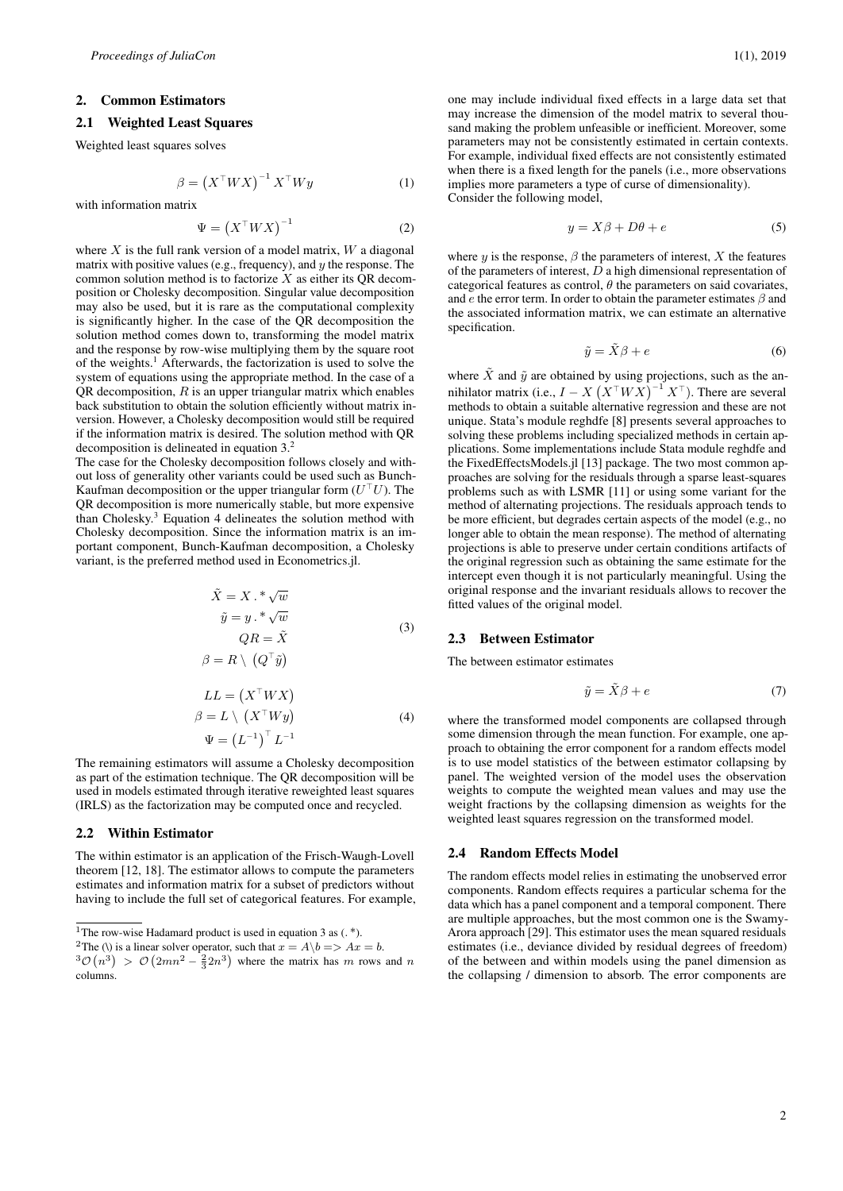#### 2. Common Estimators

#### 2.1 Weighted Least Squares

Weighted least squares solves

$$
\beta = \left(X^\top W X\right)^{-1} X^\top W y \tag{1}
$$

with information matrix

$$
\Psi = \left(X^\top W X\right)^{-1} \tag{2}
$$

where  $X$  is the full rank version of a model matrix,  $W$  a diagonal matrix with positive values (e.g., frequency), and  $y$  the response. The common solution method is to factorize  $X$  as either its QR decomposition or Cholesky decomposition. Singular value decomposition may also be used, but it is rare as the computational complexity is significantly higher. In the case of the QR decomposition the solution method comes down to, transforming the model matrix and the response by row-wise multiplying them by the square root of the weights.<sup>[1](#page-1-0)</sup> Afterwards, the factorization is used to solve the system of equations using the appropriate method. In the case of a  $QR$  decomposition,  $R$  is an upper triangular matrix which enables back substitution to obtain the solution efficiently without matrix inversion. However, a Cholesky decomposition would still be required if the information matrix is desired. The solution method with QR decomposition is delineated in equation [3.](#page-1-1) [2](#page-1-2)

<span id="page-1-1"></span>The case for the Cholesky decomposition follows closely and without loss of generality other variants could be used such as Bunch-Kaufman decomposition or the upper triangular form  $(U<sup>T</sup>U)$ . The QR decomposition is more numerically stable, but more expensive than Cholesky.[3](#page-1-3) Equation [4](#page-1-4) delineates the solution method with Cholesky decomposition. Since the information matrix is an important component, Bunch-Kaufman decomposition, a Cholesky variant, is the preferred method used in Econometrics.jl.

$$
\tilde{X} = X \cdot \sqrt[n]{w}
$$
  
\n
$$
\tilde{y} = y \cdot \sqrt[n]{w}
$$
  
\n
$$
QR = \tilde{X}
$$
\n(3)

$$
\beta = R \setminus \left( Q^\top \tilde{y} \right)
$$

$$
LL = (X^{\top}WX)
$$
  
\n
$$
\beta = L \setminus (X^{\top}Wy)
$$
  
\n
$$
\Psi = (L^{-1})^{\top} L^{-1}
$$
\n(4)

<span id="page-1-4"></span>The remaining estimators will assume a Cholesky decomposition as part of the estimation technique. The QR decomposition will be used in models estimated through iterative reweighted least squares (IRLS) as the factorization may be computed once and recycled.

#### 2.2 Within Estimator

The within estimator is an application of the Frisch-Waugh-Lovell theorem [\[12,](#page-6-7) [18\]](#page-6-8). The estimator allows to compute the parameters estimates and information matrix for a subset of predictors without having to include the full set of categorical features. For example,

<span id="page-1-2"></span><sup>2</sup>The (\) is a linear solver operator, such that  $x = A\backslash b \Longrightarrow Ax = b$ .

one may include individual fixed effects in a large data set that may increase the dimension of the model matrix to several thousand making the problem unfeasible or inefficient. Moreover, some parameters may not be consistently estimated in certain contexts. For example, individual fixed effects are not consistently estimated when there is a fixed length for the panels (i.e., more observations implies more parameters a type of curse of dimensionality). Consider the following model,

$$
y = X\beta + D\theta + e \tag{5}
$$

where y is the response,  $\beta$  the parameters of interest, X the features of the parameters of interest,  $\overline{D}$  a high dimensional representation of categorical features as control,  $\theta$  the parameters on said covariates, and  $e$  the error term. In order to obtain the parameter estimates  $\beta$  and the associated information matrix, we can estimate an alternative specification.

$$
\tilde{y} = \tilde{X}\beta + e \tag{6}
$$

where  $\tilde{X}$  and  $\tilde{y}$  are obtained by using projections, such as the annihilator matrix (i.e.,  $I - X(X^{\top}WX)^{-1}X^{\top}$ ). There are several methods to obtain a suitable alternative regression and these are not unique. Stata's module reghdfe [\[8\]](#page-5-3) presents several approaches to solving these problems including specialized methods in certain applications. Some implementations include Stata module reghdfe and the FixedEffectsModels.jl [\[13\]](#page-6-9) package. The two most common approaches are solving for the residuals through a sparse least-squares problems such as with LSMR [\[11\]](#page-6-10) or using some variant for the method of alternating projections. The residuals approach tends to be more efficient, but degrades certain aspects of the model (e.g., no longer able to obtain the mean response). The method of alternating projections is able to preserve under certain conditions artifacts of the original regression such as obtaining the same estimate for the intercept even though it is not particularly meaningful. Using the original response and the invariant residuals allows to recover the fitted values of the original model.

#### 2.3 Between Estimator

The between estimator estimates

$$
\tilde{y} = \tilde{X}\beta + e \tag{7}
$$

where the transformed model components are collapsed through some dimension through the mean function. For example, one approach to obtaining the error component for a random effects model is to use model statistics of the between estimator collapsing by panel. The weighted version of the model uses the observation weights to compute the weighted mean values and may use the weight fractions by the collapsing dimension as weights for the weighted least squares regression on the transformed model.

#### 2.4 Random Effects Model

The random effects model relies in estimating the unobserved error components. Random effects requires a particular schema for the data which has a panel component and a temporal component. There are multiple approaches, but the most common one is the Swamy-Arora approach [\[29\]](#page-6-11). This estimator uses the mean squared residuals estimates (i.e., deviance divided by residual degrees of freedom) of the between and within models using the panel dimension as the collapsing / dimension to absorb. The error components are

<span id="page-1-0"></span><sup>&</sup>lt;sup>1</sup>The row-wise Hadamard product is used in equation [3](#page-1-1) as  $(.*)$ .

<span id="page-1-3"></span> $3\mathcal{O}(n^3) > \mathcal{O}(2mn^2 - \frac{2}{3}2n^3)$  where the matrix has m rows and n columns.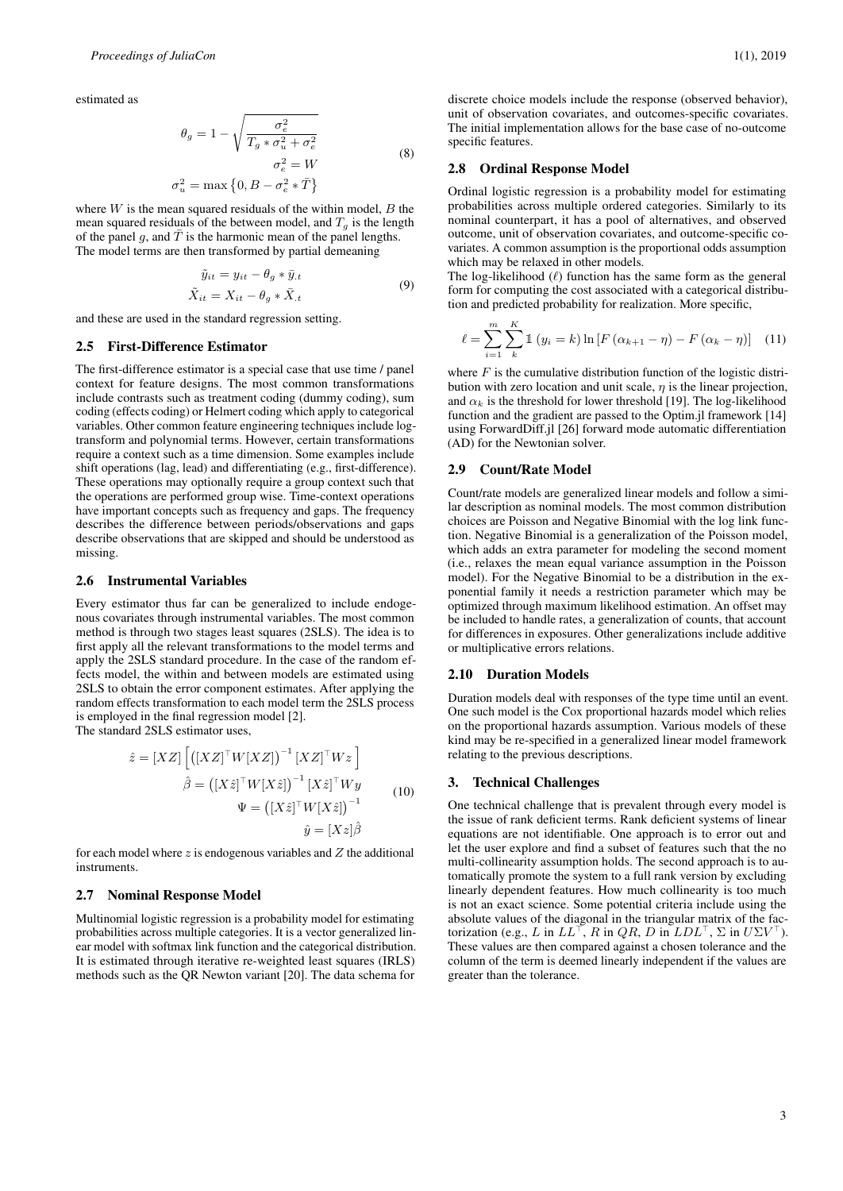estimated as

$$
\theta_g = 1 - \sqrt{\frac{\sigma_e^2}{T_g * \sigma_u^2 + \sigma_e^2}}
$$
\n
$$
\sigma_e^2 = W
$$
\n
$$
\sigma_u^2 = \max\left\{0, B - \sigma_e^2 * \bar{T}\right\}
$$
\n(8)

where  $W$  is the mean squared residuals of the within model,  $B$  the mean squared residuals of the between model, and  $T_q$  is the length of the panel g, and  $\overline{T}$  is the harmonic mean of the panel lengths. The model terms are then transformed by partial demeaning

$$
\tilde{y}_{it} = y_{it} - \theta_g * \bar{y}_{t}
$$
\n
$$
\tilde{X}_{it} = X_{it} - \theta_g * \bar{X}_{t}
$$
\n(9)

and these are used in the standard regression setting.

## 2.5 First-Difference Estimator

The first-difference estimator is a special case that use time / panel context for feature designs. The most common transformations include contrasts such as treatment coding (dummy coding), sum coding (effects coding) or Helmert coding which apply to categorical variables. Other common feature engineering techniques include logtransform and polynomial terms. However, certain transformations require a context such as a time dimension. Some examples include shift operations (lag, lead) and differentiating (e.g., first-difference). These operations may optionally require a group context such that the operations are performed group wise. Time-context operations have important concepts such as frequency and gaps. The frequency describes the difference between periods/observations and gaps describe observations that are skipped and should be understood as missing.

## 2.6 Instrumental Variables

Every estimator thus far can be generalized to include endogenous covariates through instrumental variables. The most common method is through two stages least squares (2SLS). The idea is to first apply all the relevant transformations to the model terms and apply the 2SLS standard procedure. In the case of the random effects model, the within and between models are estimated using 2SLS to obtain the error component estimates. After applying the random effects transformation to each model term the 2SLS process is employed in the final regression model [\[2\]](#page-5-4).

The standard 2SLS estimator uses,

$$
\hat{z} = [XZ] \left[ \left( [XZ]^\top W [XZ] \right)^{-1} [XZ]^\top W z \right]
$$

$$
\hat{\beta} = \left( [X\hat{z}]^\top W [X\hat{z}] \right)^{-1} [X\hat{z}]^\top W y
$$

$$
\Psi = \left( [X\hat{z}]^\top W [X\hat{z}] \right)^{-1}
$$

$$
\hat{y} = [Xz] \hat{\beta}
$$

for each model where  $z$  is endogenous variables and  $Z$  the additional instruments.

# 2.7 Nominal Response Model

Multinomial logistic regression is a probability model for estimating probabilities across multiple categories. It is a vector generalized linear model with softmax link function and the categorical distribution. It is estimated through iterative re-weighted least squares (IRLS) methods such as the QR Newton variant [\[20\]](#page-6-12). The data schema for

discrete choice models include the response (observed behavior), unit of observation covariates, and outcomes-specific covariates. The initial implementation allows for the base case of no-outcome specific features.

#### 2.8 Ordinal Response Model

Ordinal logistic regression is a probability model for estimating probabilities across multiple ordered categories. Similarly to its nominal counterpart, it has a pool of alternatives, and observed outcome, unit of observation covariates, and outcome-specific covariates. A common assumption is the proportional odds assumption which may be relaxed in other models.

The log-likelihood  $(\ell)$  function has the same form as the general form for computing the cost associated with a categorical distribution and predicted probability for realization. More specific,

$$
\ell = \sum_{i=1}^{m} \sum_{k}^{K} \mathbb{1} \left( y_i = k \right) \ln \left[ F \left( \alpha_{k+1} - \eta \right) - F \left( \alpha_k - \eta \right) \right] \tag{11}
$$

where  $F$  is the cumulative distribution function of the logistic distribution with zero location and unit scale,  $\eta$  is the linear projection, and  $\alpha_k$  is the threshold for lower threshold [\[19\]](#page-6-13). The log-likelihood function and the gradient are passed to the Optim.jl framework [\[14\]](#page-6-14) using ForwardDiff.jl [\[26\]](#page-6-15) forward mode automatic differentiation (AD) for the Newtonian solver.

## 2.9 Count/Rate Model

Count/rate models are generalized linear models and follow a similar description as nominal models. The most common distribution choices are Poisson and Negative Binomial with the log link function. Negative Binomial is a generalization of the Poisson model, which adds an extra parameter for modeling the second moment (i.e., relaxes the mean equal variance assumption in the Poisson model). For the Negative Binomial to be a distribution in the exponential family it needs a restriction parameter which may be optimized through maximum likelihood estimation. An offset may be included to handle rates, a generalization of counts, that account for differences in exposures. Other generalizations include additive or multiplicative errors relations.

## 2.10 Duration Models

Duration models deal with responses of the type time until an event. One such model is the Cox proportional hazards model which relies on the proportional hazards assumption. Various models of these kind may be re-specified in a generalized linear model framework relating to the previous descriptions.

## 3. Technical Challenges

One technical challenge that is prevalent through every model is the issue of rank deficient terms. Rank deficient systems of linear equations are not identifiable. One approach is to error out and let the user explore and find a subset of features such that the no multi-collinearity assumption holds. The second approach is to automatically promote the system to a full rank version by excluding linearly dependent features. How much collinearity is too much is not an exact science. Some potential criteria include using the absolute values of the diagonal in the triangular matrix of the factorization (e.g., L in  $LL^{\top}$ , R in  $QR$ , D in  $LDL^{\top}$ ,  $\Sigma$  in  $U\Sigma V^{\top}$ ). These values are then compared against a chosen tolerance and the column of the term is deemed linearly independent if the values are greater than the tolerance.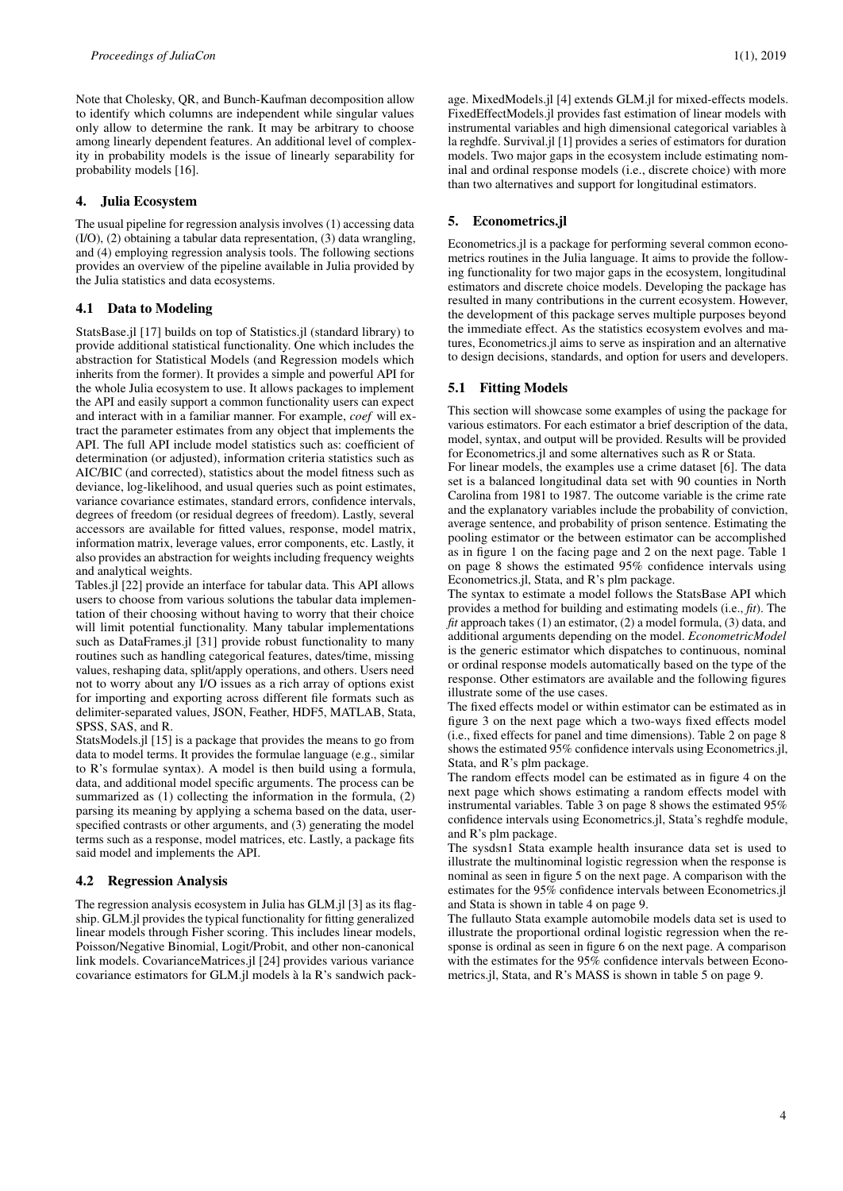Note that Cholesky, QR, and Bunch-Kaufman decomposition allow to identify which columns are independent while singular values only allow to determine the rank. It may be arbitrary to choose among linearly dependent features. An additional level of complexity in probability models is the issue of linearly separability for probability models [\[16\]](#page-6-16).

# 4. Julia Ecosystem

The usual pipeline for regression analysis involves (1) accessing data (I/O), (2) obtaining a tabular data representation, (3) data wrangling, and (4) employing regression analysis tools. The following sections provides an overview of the pipeline available in Julia provided by the Julia statistics and data ecosystems.

## 4.1 Data to Modeling

StatsBase.jl [\[17\]](#page-6-17) builds on top of Statistics.jl (standard library) to provide additional statistical functionality. One which includes the abstraction for Statistical Models (and Regression models which inherits from the former). It provides a simple and powerful API for the whole Julia ecosystem to use. It allows packages to implement the API and easily support a common functionality users can expect and interact with in a familiar manner. For example, *coef* will extract the parameter estimates from any object that implements the API. The full API include model statistics such as: coefficient of determination (or adjusted), information criteria statistics such as AIC/BIC (and corrected), statistics about the model fitness such as deviance, log-likelihood, and usual queries such as point estimates, variance covariance estimates, standard errors, confidence intervals, degrees of freedom (or residual degrees of freedom). Lastly, several accessors are available for fitted values, response, model matrix, information matrix, leverage values, error components, etc. Lastly, it also provides an abstraction for weights including frequency weights and analytical weights.

Tables.jl [\[22\]](#page-6-18) provide an interface for tabular data. This API allows users to choose from various solutions the tabular data implementation of their choosing without having to worry that their choice will limit potential functionality. Many tabular implementations such as DataFrames.jl [\[31\]](#page-6-19) provide robust functionality to many routines such as handling categorical features, dates/time, missing values, reshaping data, split/apply operations, and others. Users need not to worry about any I/O issues as a rich array of options exist for importing and exporting across different file formats such as delimiter-separated values, JSON, Feather, HDF5, MATLAB, Stata, SPSS, SAS, and R.

StatsModels.jl [\[15\]](#page-6-20) is a package that provides the means to go from data to model terms. It provides the formulae language (e.g., similar to R's formulae syntax). A model is then build using a formula, data, and additional model specific arguments. The process can be summarized as (1) collecting the information in the formula, (2) parsing its meaning by applying a schema based on the data, userspecified contrasts or other arguments, and (3) generating the model terms such as a response, model matrices, etc. Lastly, a package fits said model and implements the API.

#### 4.2 Regression Analysis

The regression analysis ecosystem in Julia has GLM.jl [\[3\]](#page-5-5) as its flagship. GLM.jl provides the typical functionality for fitting generalized linear models through Fisher scoring. This includes linear models, Poisson/Negative Binomial, Logit/Probit, and other non-canonical link models. CovarianceMatrices.jl [\[24\]](#page-6-21) provides various variance covariance estimators for GLM.jl models à la R's sandwich package. MixedModels.jl [\[4\]](#page-5-6) extends GLM.jl for mixed-effects models. FixedEffectModels.jl provides fast estimation of linear models with instrumental variables and high dimensional categorical variables à la reghdfe. Survival.jl [\[1\]](#page-5-7) provides a series of estimators for duration models. Two major gaps in the ecosystem include estimating nominal and ordinal response models (i.e., discrete choice) with more than two alternatives and support for longitudinal estimators.

# 5. Econometrics.jl

Econometrics.jl is a package for performing several common econometrics routines in the Julia language. It aims to provide the following functionality for two major gaps in the ecosystem, longitudinal estimators and discrete choice models. Developing the package has resulted in many contributions in the current ecosystem. However, the development of this package serves multiple purposes beyond the immediate effect. As the statistics ecosystem evolves and matures, Econometrics.jl aims to serve as inspiration and an alternative to design decisions, standards, and option for users and developers.

## 5.1 Fitting Models

This section will showcase some examples of using the package for various estimators. For each estimator a brief description of the data, model, syntax, and output will be provided. Results will be provided for Econometrics.jl and some alternatives such as R or Stata.

For linear models, the examples use a crime dataset [\[6\]](#page-5-8). The data set is a balanced longitudinal data set with 90 counties in North Carolina from 1981 to 1987. The outcome variable is the crime rate and the explanatory variables include the probability of conviction, average sentence, and probability of prison sentence. Estimating the pooling estimator or the between estimator can be accomplished as in figure [1 on the facing page](#page-4-0) and [2 on the next page.](#page-4-1) Table [1](#page-7-0) [on page 8](#page-7-0) shows the estimated 95% confidence intervals using Econometrics.jl, Stata, and R's plm package.

The syntax to estimate a model follows the StatsBase API which provides a method for building and estimating models (i.e., *fit*). The *fit* approach takes (1) an estimator, (2) a model formula, (3) data, and additional arguments depending on the model. *EconometricModel* is the generic estimator which dispatches to continuous, nominal or ordinal response models automatically based on the type of the response. Other estimators are available and the following figures illustrate some of the use cases.

The fixed effects model or within estimator can be estimated as in figure [3 on the next page](#page-4-2) which a two-ways fixed effects model (i.e., fixed effects for panel and time dimensions). Table [2 on page 8](#page-7-1) shows the estimated 95% confidence intervals using Econometrics.jl, Stata, and R's plm package.

The random effects model can be estimated as in figure [4 on the](#page-4-3) [next page](#page-4-3) which shows estimating a random effects model with instrumental variables. Table [3 on page 8](#page-7-2) shows the estimated 95% confidence intervals using Econometrics.jl, Stata's reghdfe module, and R's plm package.

The sysdsn1 Stata example health insurance data set is used to illustrate the multinominal logistic regression when the response is nominal as seen in figure [5 on the next page.](#page-4-4) A comparison with the estimates for the 95% confidence intervals between Econometrics.jl and Stata is shown in table [4 on page 9.](#page-8-0)

The fullauto Stata example automobile models data set is used to illustrate the proportional ordinal logistic regression when the response is ordinal as seen in figure [6 on the next page.](#page-4-5) A comparison with the estimates for the 95% confidence intervals between Econometrics.jl, Stata, and R's MASS is shown in table [5 on page 9.](#page-8-1)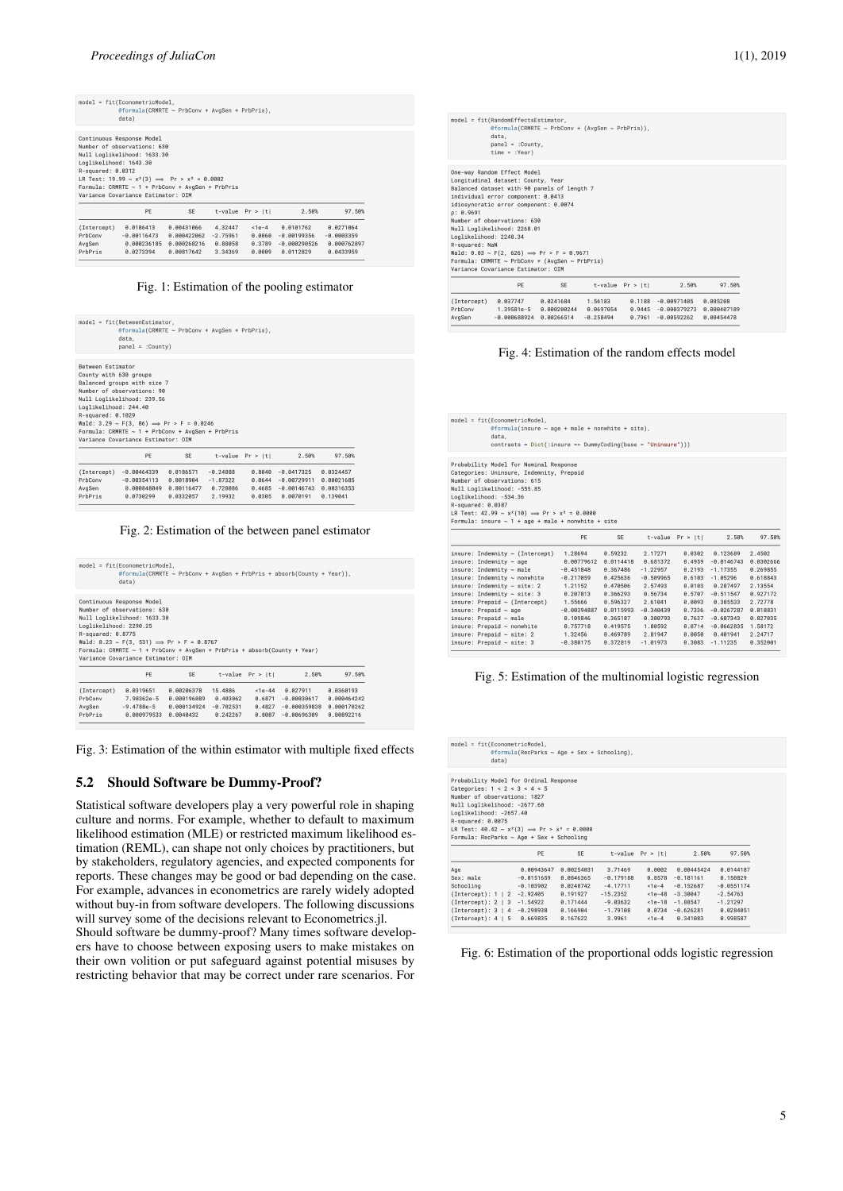<span id="page-4-0"></span>

|                        | $model = fit(EconometricModel,$<br>@formula(CRMRTE ~ PrbConv + AvgSen + PrbPris),<br>data) |             |            |                    |                |              |
|------------------------|--------------------------------------------------------------------------------------------|-------------|------------|--------------------|----------------|--------------|
|                        | Continuous Response Model                                                                  |             |            |                    |                |              |
|                        | Number of observations: 630                                                                |             |            |                    |                |              |
|                        | Null Loglikelihood: 1633.30                                                                |             |            |                    |                |              |
| Loglikelihood: 1643.30 |                                                                                            |             |            |                    |                |              |
| R-squared: 0.0312      |                                                                                            |             |            |                    |                |              |
|                        | LR Test: 19.99 ~ $x^2(3)$ $\implies$ Pr > $x^2 = 0.0002$                                   |             |            |                    |                |              |
|                        | Formula: CRMRTE $\sim 1$ + PrbConv + AvgSen + PrbPris                                      |             |            |                    |                |              |
|                        |                                                                                            |             |            |                    |                |              |
|                        | Variance Covariance Estimator: OIM                                                         |             |            |                    |                |              |
|                        | PE                                                                                         | <b>SE</b>   |            | t-value $Pr >  t $ | 2.50%          | 97.50%       |
| (Intercept)            | 0.0186413                                                                                  | 0.00431066  | 4.32447    | $<$ 1e – 4         | 0.0101762      | 0.0271064    |
| PrbConv                | $-0.00116473$                                                                              | 8.888422862 | $-2.75961$ | 0.0060             | $-0.00199356$  | $-0.0003359$ |
| AvgSen                 | 0.000236185                                                                                | 0.000268216 | 0.88058    | 0.3789             | $-0.000290526$ | 0.000762897  |

# Fig. 1: Estimation of the pooling estimator

<span id="page-4-1"></span>

| $model = fit(BetweenEstimator,$ |                                                                                |            |            |                    |               |            |
|---------------------------------|--------------------------------------------------------------------------------|------------|------------|--------------------|---------------|------------|
|                                 | @formula(CRMRTE ~ PrbConv + AvgSen + PrbPris),<br>data.<br>$panel = :Country)$ |            |            |                    |               |            |
|                                 |                                                                                |            |            |                    |               |            |
| Between Estimator               |                                                                                |            |            |                    |               |            |
|                                 | County with 630 groups                                                         |            |            |                    |               |            |
|                                 | Balanced groups with size 7                                                    |            |            |                    |               |            |
|                                 | Number of observations: 90                                                     |            |            |                    |               |            |
|                                 | Null Loglikelihood: 239.56                                                     |            |            |                    |               |            |
| Loglikelihood: 244.40           |                                                                                |            |            |                    |               |            |
| R-squared: 0.1029               |                                                                                |            |            |                    |               |            |
|                                 | Wald: $3.29 \sim F(3, 86) \implies Pr > F = 0.0246$                            |            |            |                    |               |            |
|                                 | Formula: CRMRTE $\sim$ 1 + PrbConv + AvgSen + PrbPris                          |            |            |                    |               |            |
|                                 | Variance Covariance Estimator: OIM                                             |            |            |                    |               |            |
|                                 | PF                                                                             | <b>SF</b>  |            | t-value $Pr >  t $ | 2.50%         | 97.50%     |
|                                 | (Intercept) -0.00464339                                                        | 0.0186571  | $-0.24888$ | 0.8040             | $-0.0417325$  | 0.0324457  |
| PrbConv                         | $-0.00354113$                                                                  | 0.0018904  | $-1.87322$ | 8.8644             | $-0.00729911$ | 0.00021685 |
|                                 |                                                                                |            |            |                    | $-0.00146743$ |            |
| AvgSen                          | 8.888848849                                                                    | 8.88116477 | 8.728086   | 8.4685             |               | 8.88316353 |

Fig. 2: Estimation of the between panel estimator

<span id="page-4-2"></span>

|                        | @formula(CRMRTE ~ PrbConv + AvgSen + PrbPris + absorb(County + Year)).<br>data)                                  |                       |         |                  |                    |             |
|------------------------|------------------------------------------------------------------------------------------------------------------|-----------------------|---------|------------------|--------------------|-------------|
|                        | Continuous Response Model<br>Number of observations: 630                                                         |                       |         |                  |                    |             |
|                        | Null Loglikelihood: 1633.30                                                                                      |                       |         |                  |                    |             |
| Loglikelihood: 2290.25 |                                                                                                                  |                       |         |                  |                    |             |
|                        |                                                                                                                  |                       |         |                  |                    |             |
| R-squared: 0.8775      |                                                                                                                  |                       |         |                  |                    |             |
|                        | Wald: $0.23 \sim F(3, 531) \implies Pr > F = 0.8767$                                                             |                       |         |                  |                    |             |
|                        | Formula: CRMRTE ~ $1 +$ PrbConv + AvgSen + PrbPris + absorb(County + Year)<br>Variance Covariance Estimator: OIM |                       |         |                  |                    |             |
|                        | PE                                                                                                               | <b>SE</b>             |         | t-value Pr > ItI | 2.50%              | 97.50%      |
| (Intercept)            | 0.0319651                                                                                                        | 0.00206378            | 15.4886 | $1e-44$          | 0.027911           | 0.0360193   |
| PrbConv                | 7,90362e-5                                                                                                       | 0.000196089 0.403062  |         |                  | 0.6871 -0.00030617 | 0.000464242 |
| AvgSen                 | -9.4788e-5                                                                                                       | 0.000134924 -0.702531 |         | 0.4827           | $-0.000359838$     | 0.000170262 |

Fig. 3: Estimation of the within estimator with multiple fixed effects

# 5.2 Should Software be Dummy-Proof?

Statistical software developers play a very powerful role in shaping culture and norms. For example, whether to default to maximum likelihood estimation (MLE) or restricted maximum likelihood estimation (REML), can shape not only choices by practitioners, but by stakeholders, regulatory agencies, and expected components for reports. These changes may be good or bad depending on the case. For example, advances in econometrics are rarely widely adopted without buy-in from software developers. The following discussions will survey some of the decisions relevant to Econometrics.jl.

Should software be dummy-proof? Many times software developers have to choose between exposing users to make mistakes on their own volition or put safeguard against potential misuses by restricting behavior that may be correct under rare scenarios. For

<span id="page-4-3"></span>

|                                                       | $model = fit(RandomEffectsEstimator.$<br>@formula(CRMRTE ~ PrbConv + (AvgSen ~ PrbPris)),<br>data.<br>$panel = :Country,$<br>$time = :Year)$                                                                                                                                                                                                                                                                  |    |                          |                         |                                                                                                               |                        |  |
|-------------------------------------------------------|---------------------------------------------------------------------------------------------------------------------------------------------------------------------------------------------------------------------------------------------------------------------------------------------------------------------------------------------------------------------------------------------------------------|----|--------------------------|-------------------------|---------------------------------------------------------------------------------------------------------------|------------------------|--|
| 0: 0.9691<br>Loglikelihood: 2248.34<br>R-squared: NaN | One-way Random Effect Model<br>Longitudinal dataset: County, Year<br>Balanced dataset with 90 panels of length 7<br>individual error component: 0.0413<br>idiosyncratic error component: 0.0074<br>Number of observations: 630<br>Null Loglikelihood: 2268.01<br>Wald: $0.03 \sim F(2, 626) \implies Pr > F = 0.9671$<br>Formula: CRMRTE ~ PrbConv + (AvgSen ~ PrbPris)<br>Variance Covariance Estimator: OIM |    |                          |                         |                                                                                                               |                        |  |
|                                                       | PE                                                                                                                                                                                                                                                                                                                                                                                                            | SE |                          | $t$ -value $Pr$ > $ t $ | 2.50%                                                                                                         | 97.50%                 |  |
| (Intercept)<br>PrbConv<br>AvgSen                      | 1.39581e-5 0.000200244<br>$-0.000688924$ $0.00266514$                                                                                                                                                                                                                                                                                                                                                         |    | 0.0697054<br>$-0.258494$ |                         | 0.037747  0.0241684  1.56183  0.1188  -0.00971405<br>0.9445 -0.000379273 0.000407189<br>$0.7961 - 0.00592262$ | 0.085208<br>0.00454478 |  |

Fig. 4: Estimation of the random effects model

<span id="page-4-4"></span>

| $model = fit(EconometricModel)$ .<br>@formula(insure $\sim$ age + male + nonwhite + site).<br>data.<br>$contrast = Dict('{:} = $ DummyCoding(base = "Uninsure")))                                                                                                                                                                                                                                        |                                                                                                                                                          |                                                                                                                                               |                                                                                                                                                  |                                                                                                                      |                                                                                                                                                                      |                                                                                                                                         |  |  |
|----------------------------------------------------------------------------------------------------------------------------------------------------------------------------------------------------------------------------------------------------------------------------------------------------------------------------------------------------------------------------------------------------------|----------------------------------------------------------------------------------------------------------------------------------------------------------|-----------------------------------------------------------------------------------------------------------------------------------------------|--------------------------------------------------------------------------------------------------------------------------------------------------|----------------------------------------------------------------------------------------------------------------------|----------------------------------------------------------------------------------------------------------------------------------------------------------------------|-----------------------------------------------------------------------------------------------------------------------------------------|--|--|
| Probability Model for Nominal Response<br>Categories: Uninsure, Indemnity, Prepaid<br>Number of observations: 615<br>Null Loglikelihood: -555.85<br>Loglikelihood: -534.36<br>R-squared: 0.0387<br>LR Test: $42.99 \sim x^2(10) \implies Pr > x^2 = 0.0000$<br>Formula: insure $\sim$ 1 + age + male + nonwhite + site                                                                                   |                                                                                                                                                          |                                                                                                                                               |                                                                                                                                                  |                                                                                                                      |                                                                                                                                                                      |                                                                                                                                         |  |  |
|                                                                                                                                                                                                                                                                                                                                                                                                          | PE                                                                                                                                                       | <b>SF</b>                                                                                                                                     | t-value                                                                                                                                          | Pr >  t                                                                                                              | 2.50%                                                                                                                                                                | 97.50%                                                                                                                                  |  |  |
| insure: Indemnity ~ (Intercept)<br>insure: Indemnity $\sim$ age<br>insure: Indemnity $\sim$ male<br>insure: Indemnity ~ nonwhite<br>insure: Indemnity $\sim$ site: 2<br>insure: Indemnity $\sim$ site: 3<br>$insure: Prepaid \sim (Intercept)$<br>insure: Prepaid $\sim$ age<br>insure: Prepaid ~ male<br>insure: Prepaid ~ nonwhite<br>insure: Prepaid $\sim$ site: 2<br>insure: Prepaid $\sim$ site: 3 | 1.28694<br>8.88779612<br>$-0.451848$<br>$-0.217059$<br>1.21152<br>0.207813<br>1.55666<br>$-0.00394887$<br>0.109846<br>0.757718<br>1.32456<br>$-0.380175$ | 0.59232<br>0.0114418<br>0.367486<br>0.425636<br>0.470506<br>0.366293<br>0.596327<br>0.0115993<br>0.365187<br>0.419575<br>0.469789<br>0.372819 | 2.17271<br>0.681372<br>$-1.22957$<br>$-0.509965$<br>2.57493<br>8.56734<br>2.61041<br>$-0.340439$<br>0.300793<br>1.80592<br>2.81947<br>$-1.01973$ | 0.0302<br>0.4959<br>0.2193<br>0.6103<br>0.0103<br>0.5707<br>0.0093<br>0.7336<br>0.7637<br>0.0714<br>0.0050<br>0.3083 | 0.123689<br>$-0.0146743$<br>$-1.17355$<br>$-1.05296$<br>0.287497<br>$-0.511547$<br>0.385533<br>$-0.0267287$<br>$-0.607343$<br>$-0.0662835$<br>0.401941<br>$-1.11235$ | 2.4502<br>0.0302666<br>0.269855<br>0.618843<br>2.13554<br>8.927172<br>2.72778<br>0.018831<br>0.827035<br>1.58172<br>2.24717<br>0.352001 |  |  |

Fig. 5: Estimation of the multinomial logistic regression

<span id="page-4-5"></span>

| data)                                                                                                                                    |              |                      |                      |                       |                                 |                       |
|------------------------------------------------------------------------------------------------------------------------------------------|--------------|----------------------|----------------------|-----------------------|---------------------------------|-----------------------|
| Probability Model for Ordinal Response                                                                                                   |              |                      |                      |                       |                                 |                       |
| Categories: $1 < 2 < 3 < 4 < 5$                                                                                                          |              |                      |                      |                       |                                 |                       |
| Number of observations: 1827                                                                                                             |              |                      |                      |                       |                                 |                       |
| Null Loglikelihood: -2677.60<br>Loglikelihood: -2657.40                                                                                  |              |                      |                      |                       |                                 |                       |
| R-squared: 0.0075                                                                                                                        |              |                      |                      |                       |                                 |                       |
|                                                                                                                                          |              |                      |                      |                       |                                 |                       |
|                                                                                                                                          |              |                      |                      |                       |                                 |                       |
|                                                                                                                                          |              |                      |                      |                       |                                 |                       |
| LR Test: $40.42 \sim x^2(3) \implies Pr > x^2 = 0.0000$<br>Formula: RecParks ~ Age + Sex + Schooling                                     | PE           | SE                   |                      | $t$ -value $Pr >  t $ | 2.50%                           | 97.50%                |
|                                                                                                                                          |              |                      |                      |                       |                                 |                       |
| Age                                                                                                                                      | 0.00943647   | 0.00254031           | 3.71469              | 0.0002                | 0.00445424                      | 0.0144187             |
| Sex: male                                                                                                                                | $-0.0151659$ | 0.0846365            | $-0.179188$          | 0.8578                | $-0.181161$                     | 0.150829              |
|                                                                                                                                          | $-0.103902$  | 0.0248742            | $-4.17711$           | $<1e-4$               | $-0.152687$                     | $-0.0551174$          |
|                                                                                                                                          |              | 8.191927             | $-15.2352$           | $<1e-48$              | $-3.30047$                      | $-2.54763$            |
|                                                                                                                                          |              | 0.171444             | $-9.03632$           | $1e-18$               | $-1.88547$                      | $-1.21297$            |
| Schooling<br>(Intercept): 1   2 -2.92405<br>(Intercept): 2   3 -1.54922<br>$(Intercept): 3   4 -0.298938$<br>(Intercept): 4   5 0.669835 |              | 0.166904<br>0.167622 | $-1.79108$<br>3.9961 | $<1e-4$               | $0.0734 - 0.626281$<br>0.341083 | 0.0284051<br>0.998587 |

Fig. 6: Estimation of the proportional odds logistic regression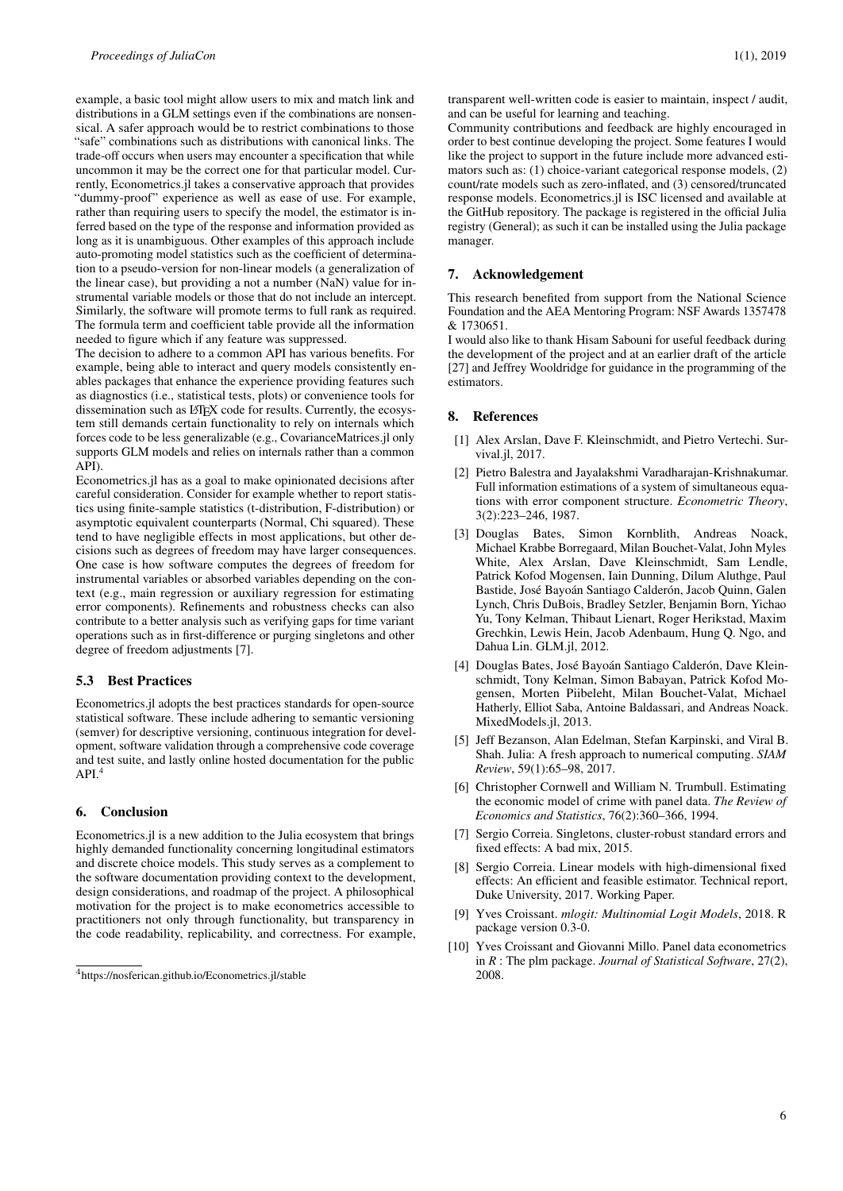example, a basic tool might allow users to mix and match link and distributions in a GLM settings even if the combinations are nonsensical. A safer approach would be to restrict combinations to those "safe" combinations such as distributions with canonical links. The trade-off occurs when users may encounter a specification that while uncommon it may be the correct one for that particular model. Currently, Econometrics.jl takes a conservative approach that provides "dummy-proof" experience as well as ease of use. For example, rather than requiring users to specify the model, the estimator is inferred based on the type of the response and information provided as long as it is unambiguous. Other examples of this approach include auto-promoting model statistics such as the coefficient of determination to a pseudo-version for non-linear models (a generalization of the linear case), but providing a not a number (NaN) value for instrumental variable models or those that do not include an intercept. Similarly, the software will promote terms to full rank as required. The formula term and coefficient table provide all the information needed to figure which if any feature was suppressed.

The decision to adhere to a common API has various benefits. For example, being able to interact and query models consistently enables packages that enhance the experience providing features such as diagnostics (i.e., statistical tests, plots) or convenience tools for dissemination such as LATEX code for results. Currently, the ecosystem still demands certain functionality to rely on internals which forces code to be less generalizable (e.g., CovarianceMatrices.jl only supports GLM models and relies on internals rather than a common API).

Econometrics.jl has as a goal to make opinionated decisions after careful consideration. Consider for example whether to report statistics using finite-sample statistics (t-distribution, F-distribution) or asymptotic equivalent counterparts (Normal, Chi squared). These tend to have negligible effects in most applications, but other decisions such as degrees of freedom may have larger consequences. One case is how software computes the degrees of freedom for instrumental variables or absorbed variables depending on the context (e.g., main regression or auxiliary regression for estimating error components). Refinements and robustness checks can also contribute to a better analysis such as verifying gaps for time variant operations such as in first-difference or purging singletons and other degree of freedom adjustments [\[7\]](#page-5-9).

## 5.3 Best Practices

Econometrics.jl adopts the best practices standards for open-source statistical software. These include adhering to semantic versioning (semver) for descriptive versioning, continuous integration for development, software validation through a comprehensive code coverage and test suite, and lastly online hosted documentation for the public  $API<sup>4</sup>$  $API<sup>4</sup>$  $API<sup>4</sup>$ 

#### 6. Conclusion

Econometrics.jl is a new addition to the Julia ecosystem that brings highly demanded functionality concerning longitudinal estimators and discrete choice models. This study serves as a complement to the software documentation providing context to the development, design considerations, and roadmap of the project. A philosophical motivation for the project is to make econometrics accessible to practitioners not only through functionality, but transparency in the code readability, replicability, and correctness. For example, transparent well-written code is easier to maintain, inspect / audit, and can be useful for learning and teaching.

Community contributions and feedback are highly encouraged in order to best continue developing the project. Some features I would like the project to support in the future include more advanced estimators such as: (1) choice-variant categorical response models, (2) count/rate models such as zero-inflated, and (3) censored/truncated response models. Econometrics.jl is ISC licensed and available at the GitHub repository. The package is registered in the official Julia registry (General); as such it can be installed using the Julia package manager.

# 7. Acknowledgement

This research benefited from support from the National Science Foundation and the AEA Mentoring Program: NSF Awards 1357478 & 1730651.

I would also like to thank Hisam Sabouni for useful feedback during the development of the project and at an earlier draft of the article [\[27\]](#page-6-22) and Jeffrey Wooldridge for guidance in the programming of the estimators.

#### 8. References

- <span id="page-5-7"></span>[1] Alex Arslan, Dave F. Kleinschmidt, and Pietro Vertechi. Survival.jl, 2017.
- <span id="page-5-4"></span>[2] Pietro Balestra and Jayalakshmi Varadharajan-Krishnakumar. Full information estimations of a system of simultaneous equations with error component structure. *Econometric Theory*, 3(2):223–246, 1987.
- <span id="page-5-5"></span>[3] Douglas Bates, Simon Kornblith, Andreas Noack, Michael Krabbe Borregaard, Milan Bouchet-Valat, John Myles White, Alex Arslan, Dave Kleinschmidt, Sam Lendle, Patrick Kofod Mogensen, Iain Dunning, Dilum Aluthge, Paul Bastide, José Bayoán Santiago Calderón, Jacob Quinn, Galen Lynch, Chris DuBois, Bradley Setzler, Benjamin Born, Yichao Yu, Tony Kelman, Thibaut Lienart, Roger Herikstad, Maxim Grechkin, Lewis Hein, Jacob Adenbaum, Hung Q. Ngo, and Dahua Lin. GLM.jl, 2012.
- <span id="page-5-6"></span>[4] Douglas Bates, José Bayoán Santiago Calderón, Dave Kleinschmidt, Tony Kelman, Simon Babayan, Patrick Kofod Mogensen, Morten Piibeleht, Milan Bouchet-Valat, Michael Hatherly, Elliot Saba, Antoine Baldassari, and Andreas Noack. MixedModels.jl, 2013.
- <span id="page-5-0"></span>[5] Jeff Bezanson, Alan Edelman, Stefan Karpinski, and Viral B. Shah. Julia: A fresh approach to numerical computing. *SIAM Review*, 59(1):65–98, 2017.
- <span id="page-5-8"></span>[6] Christopher Cornwell and William N. Trumbull. Estimating the economic model of crime with panel data. *The Review of Economics and Statistics*, 76(2):360–366, 1994.
- <span id="page-5-9"></span>[7] Sergio Correia. Singletons, cluster-robust standard errors and fixed effects: A bad mix, 2015.
- <span id="page-5-3"></span>[8] Sergio Correia. Linear models with high-dimensional fixed effects: An efficient and feasible estimator. Technical report, Duke University, 2017. Working Paper.
- <span id="page-5-2"></span>[9] Yves Croissant. *mlogit: Multinomial Logit Models*, 2018. R package version 0.3-0.
- <span id="page-5-1"></span>[10] Yves Croissant and Giovanni Millo. Panel data econometrics in *R* : The plm package. *Journal of Statistical Software*, 27(2), 2008.

<span id="page-5-10"></span><sup>4</sup><https://nosferican.github.io/Econometrics.jl/stable>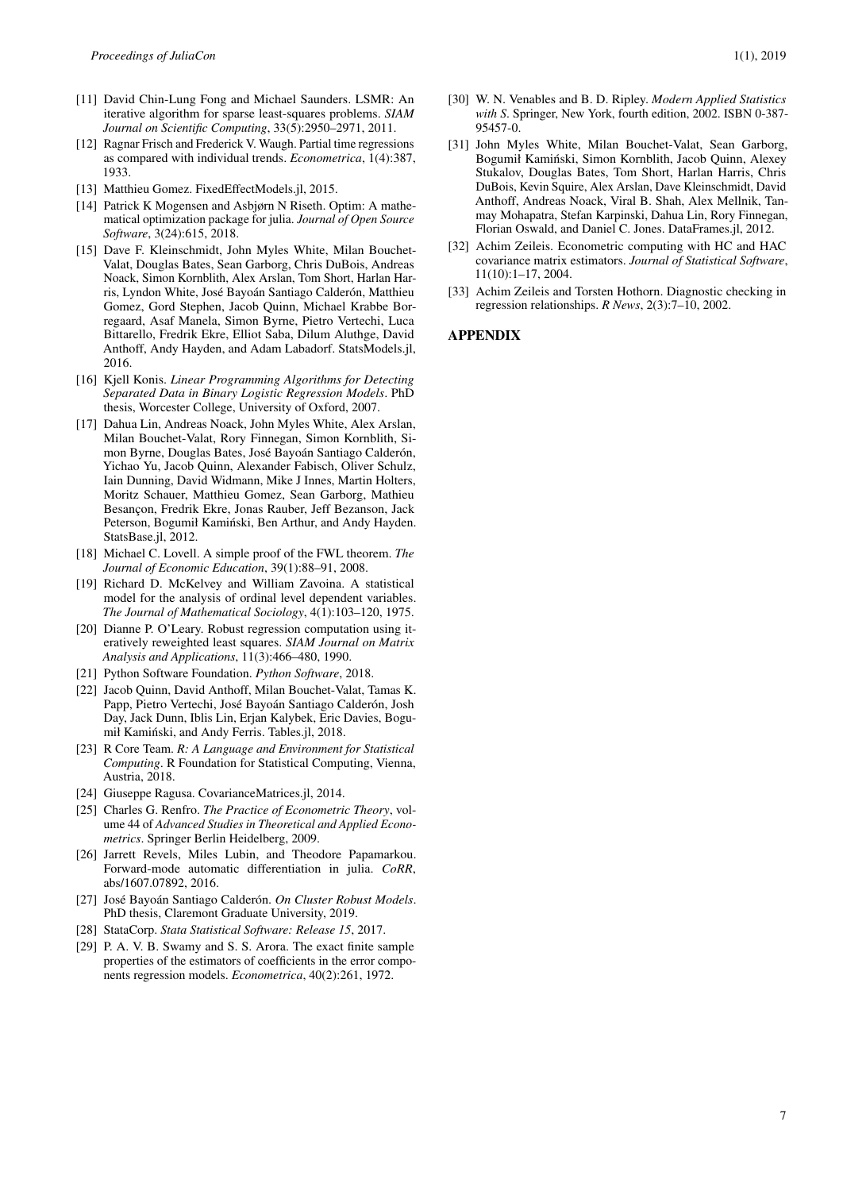- <span id="page-6-10"></span>[11] David Chin-Lung Fong and Michael Saunders. LSMR: An iterative algorithm for sparse least-squares problems. *SIAM Journal on Scientific Computing*, 33(5):2950–2971, 2011.
- <span id="page-6-7"></span>[12] Ragnar Frisch and Frederick V. Waugh. Partial time regressions as compared with individual trends. *Econometrica*, 1(4):387, 1933.
- <span id="page-6-9"></span>[13] Matthieu Gomez. FixedEffectModels.jl, 2015.
- <span id="page-6-14"></span>[14] Patrick K Mogensen and Asbjørn N Riseth. Optim: A mathematical optimization package for julia. *Journal of Open Source Software*, 3(24):615, 2018.
- <span id="page-6-20"></span>[15] Dave F. Kleinschmidt, John Myles White, Milan Bouchet-Valat, Douglas Bates, Sean Garborg, Chris DuBois, Andreas Noack, Simon Kornblith, Alex Arslan, Tom Short, Harlan Harris, Lyndon White, José Bayoán Santiago Calderón, Matthieu Gomez, Gord Stephen, Jacob Quinn, Michael Krabbe Borregaard, Asaf Manela, Simon Byrne, Pietro Vertechi, Luca Bittarello, Fredrik Ekre, Elliot Saba, Dilum Aluthge, David Anthoff, Andy Hayden, and Adam Labadorf. StatsModels.jl, 2016.
- <span id="page-6-16"></span>[16] Kjell Konis. *Linear Programming Algorithms for Detecting Separated Data in Binary Logistic Regression Models*. PhD thesis, Worcester College, University of Oxford, 2007.
- <span id="page-6-17"></span>[17] Dahua Lin, Andreas Noack, John Myles White, Alex Arslan, Milan Bouchet-Valat, Rory Finnegan, Simon Kornblith, Simon Byrne, Douglas Bates, José Bayoán Santiago Calderón, Yichao Yu, Jacob Quinn, Alexander Fabisch, Oliver Schulz, Iain Dunning, David Widmann, Mike J Innes, Martin Holters, Moritz Schauer, Matthieu Gomez, Sean Garborg, Mathieu Besançon, Fredrik Ekre, Jonas Rauber, Jeff Bezanson, Jack Peterson, Bogumił Kamiński, Ben Arthur, and Andy Hayden. StatsBase.jl, 2012.
- <span id="page-6-8"></span>[18] Michael C. Lovell. A simple proof of the FWL theorem. *The Journal of Economic Education*, 39(1):88–91, 2008.
- <span id="page-6-13"></span>[19] Richard D. McKelvey and William Zavoina. A statistical model for the analysis of ordinal level dependent variables. *The Journal of Mathematical Sociology*, 4(1):103–120, 1975.
- <span id="page-6-12"></span>[20] Dianne P. O'Leary. Robust regression computation using iteratively reweighted least squares. *SIAM Journal on Matrix Analysis and Applications*, 11(3):466–480, 1990.
- <span id="page-6-3"></span>[21] Python Software Foundation. *Python Software*, 2018.
- <span id="page-6-18"></span>[22] Jacob Quinn, David Anthoff, Milan Bouchet-Valat, Tamas K. Papp, Pietro Vertechi, José Bayoán Santiago Calderón, Josh Day, Jack Dunn, Iblis Lin, Erjan Kalybek, Eric Davies, Bogumił Kamiński, and Andy Ferris. Tables.jl, 2018.
- <span id="page-6-2"></span>[23] R Core Team. *R: A Language and Environment for Statistical Computing*. R Foundation for Statistical Computing, Vienna, Austria, 2018.
- <span id="page-6-21"></span>[24] Giuseppe Ragusa. CovarianceMatrices.jl, 2014.
- <span id="page-6-0"></span>[25] Charles G. Renfro. *The Practice of Econometric Theory*, volume 44 of *Advanced Studies in Theoretical and Applied Econometrics*. Springer Berlin Heidelberg, 2009.
- <span id="page-6-15"></span>[26] Jarrett Revels, Miles Lubin, and Theodore Papamarkou. Forward-mode automatic differentiation in julia. *CoRR*, abs/1607.07892, 2016.
- <span id="page-6-22"></span>[27] José Bayoán Santiago Calderón. *On Cluster Robust Models*. PhD thesis, Claremont Graduate University, 2019.
- <span id="page-6-1"></span>[28] StataCorp. *Stata Statistical Software: Release 15*, 2017.
- <span id="page-6-11"></span>[29] P. A. V. B. Swamy and S. S. Arora. The exact finite sample properties of the estimators of coefficients in the error components regression models. *Econometrica*, 40(2):261, 1972.
- <span id="page-6-4"></span>[30] W. N. Venables and B. D. Ripley. *Modern Applied Statistics with S*. Springer, New York, fourth edition, 2002. ISBN 0-387- 95457-0.
- <span id="page-6-19"></span>[31] John Myles White, Milan Bouchet-Valat, Sean Garborg, Bogumił Kaminski, Simon Kornblith, Jacob Quinn, Alexey ´ Stukalov, Douglas Bates, Tom Short, Harlan Harris, Chris DuBois, Kevin Squire, Alex Arslan, Dave Kleinschmidt, David Anthoff, Andreas Noack, Viral B. Shah, Alex Mellnik, Tanmay Mohapatra, Stefan Karpinski, Dahua Lin, Rory Finnegan, Florian Oswald, and Daniel C. Jones. DataFrames.jl, 2012.
- <span id="page-6-6"></span>[32] Achim Zeileis. Econometric computing with HC and HAC covariance matrix estimators. *Journal of Statistical Software*, 11(10):1–17, 2004.
- <span id="page-6-5"></span>[33] Achim Zeileis and Torsten Hothorn. Diagnostic checking in regression relationships. *R News*, 2(3):7–10, 2002.

#### APPENDIX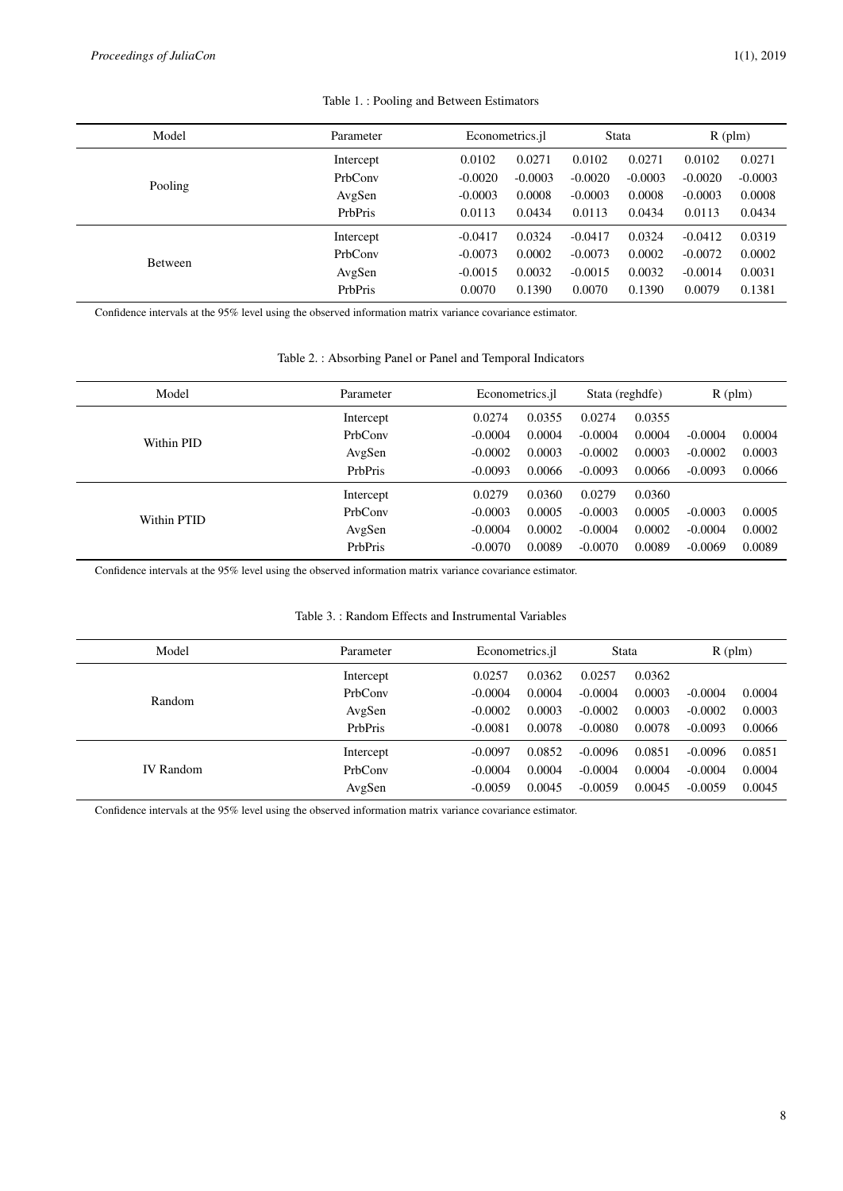<span id="page-7-0"></span>

| Model          | Parameter | Econometrics.jl |           | <b>Stata</b> |           | $R$ (plm) |           |
|----------------|-----------|-----------------|-----------|--------------|-----------|-----------|-----------|
|                | Intercept | 0.0102          | 0.0271    | 0.0102       | 0.0271    | 0.0102    | 0.0271    |
| Pooling        | PrbConv   | $-0.0020$       | $-0.0003$ | $-0.0020$    | $-0.0003$ | $-0.0020$ | $-0.0003$ |
|                | AvgSen    | $-0.0003$       | 0.0008    | $-0.0003$    | 0.0008    | $-0.0003$ | 0.0008    |
|                | PrbPris   | 0.0113          | 0.0434    | 0.0113       | 0.0434    | 0.0113    | 0.0434    |
|                | Intercept | $-0.0417$       | 0.0324    | $-0.0417$    | 0.0324    | $-0.0412$ | 0.0319    |
| <b>Between</b> | PrbConv   | $-0.0073$       | 0.0002    | $-0.0073$    | 0.0002    | $-0.0072$ | 0.0002    |
|                | AvgSen    | $-0.0015$       | 0.0032    | $-0.0015$    | 0.0032    | $-0.0014$ | 0.0031    |
|                | PrbPris   | 0.0070          | 0.1390    | 0.0070       | 0.1390    | 0.0079    | 0.1381    |

# Table 1. : Pooling and Between Estimators

Confidence intervals at the 95% level using the observed information matrix variance covariance estimator.

<span id="page-7-1"></span>

| Model       | Parameter |           | Econometrics.jl |           | Stata (reghdfe) |           | $R$ (plm) |
|-------------|-----------|-----------|-----------------|-----------|-----------------|-----------|-----------|
|             | Intercept | 0.0274    | 0.0355          | 0.0274    | 0.0355          |           |           |
| Within PID  | PrbConv   | $-0.0004$ | 0.0004          | $-0.0004$ | 0.0004          | $-0.0004$ | 0.0004    |
|             | AvgSen    | $-0.0002$ | 0.0003          | $-0.0002$ | 0.0003          | $-0.0002$ | 0.0003    |
|             | PrbPris   | $-0.0093$ | 0.0066          | $-0.0093$ | 0.0066          | $-0.0093$ | 0.0066    |
|             | Intercept | 0.0279    | 0.0360          | 0.0279    | 0.0360          |           |           |
| Within PTID | PrbConv   | $-0.0003$ | 0.0005          | $-0.0003$ | 0.0005          | $-0.0003$ | 0.0005    |
|             | AvgSen    | $-0.0004$ | 0.0002          | $-0.0004$ | 0.0002          | $-0.0004$ | 0.0002    |
|             | PrbPris   | $-0.0070$ | 0.0089          | $-0.0070$ | 0.0089          | $-0.0069$ | 0.0089    |

Confidence intervals at the 95% level using the observed information matrix variance covariance estimator.

# Table 3. : Random Effects and Instrumental Variables

<span id="page-7-2"></span>

| Model            | Parameter | Econometrics.jl |        | Stata     |        | $R$ (plm) |        |
|------------------|-----------|-----------------|--------|-----------|--------|-----------|--------|
|                  | Intercept | 0.0257          | 0.0362 | 0.0257    | 0.0362 |           |        |
| Random           | PrbConv   | $-0.0004$       | 0.0004 | $-0.0004$ | 0.0003 | $-0.0004$ | 0.0004 |
|                  | AvgSen    | $-0.0002$       | 0.0003 | $-0.0002$ | 0.0003 | $-0.0002$ | 0.0003 |
|                  | PrbPris   | $-0.0081$       | 0.0078 | $-0.0080$ | 0.0078 | $-0.0093$ | 0.0066 |
|                  | Intercept | $-0.0097$       | 0.0852 | $-0.0096$ | 0.0851 | $-0.0096$ | 0.0851 |
| <b>IV</b> Random | PrbConv   | $-0.0004$       | 0.0004 | $-0.0004$ | 0.0004 | $-0.0004$ | 0.0004 |
|                  | AvgSen    | $-0.0059$       | 0.0045 | $-0.0059$ | 0.0045 | $-0.0059$ | 0.0045 |
|                  |           |                 |        |           |        |           |        |

Confidence intervals at the 95% level using the observed information matrix variance covariance estimator.